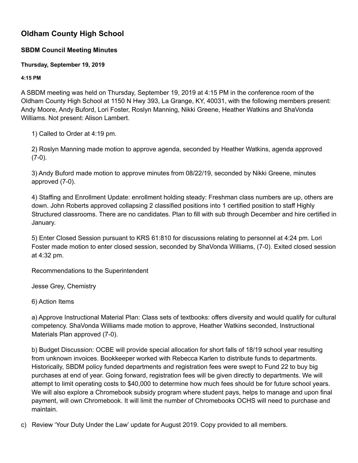## **Oldham County High School**

## **SBDM Council Meeting Minutes**

## **Thursday, September 19, 2019**

## **4:15 PM**

A SBDM meeting was held on Thursday, September 19, 2019 at 4:15 PM in the conference room of the Oldham County High School at 1150 N Hwy 393, La Grange, KY, 40031, with the following members present: Andy Moore, Andy Buford, Lori Foster, Roslyn Manning, Nikki Greene, Heather Watkins and ShaVonda Williams. Not present: Alison Lambert.

1) Called to Order at 4:19 pm.

2) Roslyn Manning made motion to approve agenda, seconded by Heather Watkins, agenda approved (7-0).

3) Andy Buford made motion to approve minutes from 08/22/19, seconded by Nikki Greene, minutes approved (7-0).

4) Staffing and Enrollment Update: enrollment holding steady: Freshman class numbers are up, others are down. John Roberts approved collapsing 2 classified positions into 1 certified position to staff Highly Structured classrooms. There are no candidates. Plan to fill with sub through December and hire certified in January.

5) Enter Closed Session pursuant to KRS 61:810 for discussions relating to personnel at 4:24 pm. Lori Foster made motion to enter closed session, seconded by ShaVonda Williams, (7-0). Exited closed session at 4:32 pm.

Recommendations to the Superintendent

Jesse Grey, Chemistry

6) Action Items

a) Approve Instructional Material Plan: Class sets of textbooks: offers diversity and would qualify for cultural competency. ShaVonda Williams made motion to approve, Heather Watkins seconded, Instructional Materials Plan approved (7-0).

b) Budget Discussion: OCBE will provide special allocation for short falls of 18/19 school year resulting from unknown invoices. Bookkeeper worked with Rebecca Karlen to distribute funds to departments. Historically, SBDM policy funded departments and registration fees were swept to Fund 22 to buy big purchases at end of year. Going forward, registration fees will be given directly to departments. We will attempt to limit operating costs to \$40,000 to determine how much fees should be for future school years. We will also explore a Chromebook subsidy program where student pays, helps to manage and upon final payment, will own Chromebook. It will limit the number of Chromebooks OCHS will need to purchase and maintain.

c) Review 'Your Duty Under the Law' update for August 2019. Copy provided to all members.